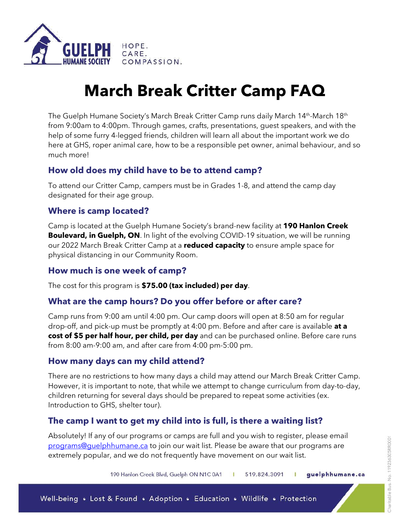

# **March Break Critter Camp FAQ**

The Guelph Humane Society's March Break Critter Camp runs daily March 14<sup>th</sup>-March 18<sup>th</sup> from 9:00am to 4:00pm. Through games, crafts, presentations, guest speakers, and with the help of some furry 4-legged friends, children will learn all about the important work we do here at GHS, roper animal care, how to be a responsible pet owner, animal behaviour, and so much more!

# **How old does my child have to be to attend camp?**

To attend our Critter Camp, campers must be in Grades 1-8, and attend the camp day designated for their age group.

### **Where is camp located?**

Camp is located at the Guelph Humane Society's brand-new facility at **190 Hanlon Creek Boulevard, in Guelph, ON**. In light of the evolving COVID-19 situation, we will be running our 2022 March Break Critter Camp at a **reduced capacity** to ensure ample space for physical distancing in our Community Room.

#### **How much is one week of camp?**

The cost for this program is **\$75.00 (tax included) per day**.

#### **What are the camp hours? Do you offer before or after care?**

Camp runs from 9:00 am until 4:00 pm. Our camp doors will open at 8:50 am for regular drop-off, and pick-up must be promptly at 4:00 pm. Before and after care is available **at a cost of \$5 per half hour, per child, per day** and can be purchased online. Before care runs from 8:00 am-9:00 am, and after care from 4:00 pm-5:00 pm.

# **How many days can my child attend?**

There are no restrictions to how many days a child may attend our March Break Critter Camp. However, it is important to note, that while we attempt to change curriculum from day-to-day, children returning for several days should be prepared to repeat some activities (ex. Introduction to GHS, shelter tour).

# **The camp I want to get my child into is full, is there a waiting list?**

Absolutely! If any of our programs or camps are full and you wish to register, please email [programs@guelphhumane.ca](mailto:programs@guelphhumane.ca) to join our wait list. Please be aware that our programs are extremely popular, and we do not frequently have movement on our wait list.

> 190 Hanlon Creek Blvd, Guelph ON N1C 0A1 519.824.3091 T guelphhumane.ca п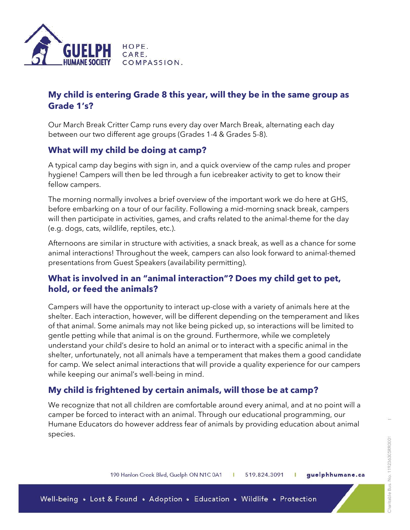

# **My child is entering Grade 8 this year, will they be in the same group as Grade 1's?**

Our March Break Critter Camp runs every day over March Break, alternating each day between our two different age groups (Grades 1-4 & Grades 5-8).

#### **What will my child be doing at camp?**

A typical camp day begins with sign in, and a quick overview of the camp rules and proper hygiene! Campers will then be led through a fun icebreaker activity to get to know their fellow campers.

The morning normally involves a brief overview of the important work we do here at GHS, before embarking on a tour of our facility. Following a mid-morning snack break, campers will then participate in activities, games, and crafts related to the animal-theme for the day (e.g. dogs, cats, wildlife, reptiles, etc.).

Afternoons are similar in structure with activities, a snack break, as well as a chance for some animal interactions! Throughout the week, campers can also look forward to animal-themed presentations from Guest Speakers (availability permitting).

#### **What is involved in an "animal interaction"? Does my child get to pet, hold, or feed the animals?**

Campers will have the opportunity to interact up-close with a variety of animals here at the shelter. Each interaction, however, will be different depending on the temperament and likes of that animal. Some animals may not like being picked up, so interactions will be limited to gentle petting while that animal is on the ground. Furthermore, while we completely understand your child's desire to hold an animal or to interact with a specific animal in the shelter, unfortunately, not all animals have a temperament that makes them a good candidate for camp. We select animal interactions that will provide a quality experience for our campers while keeping our animal's well-being in mind.

#### **My child is frightened by certain animals, will those be at camp?**

We recognize that not all children are comfortable around every animal, and at no point will a camper be forced to interact with an animal. Through our educational programming, our Humane Educators do however address fear of animals by providing education about animal species.

190 Hanlon Creek Blvd, Guelph ON N1C 0A1 guelphhumane.ca 519.824.3091 ٠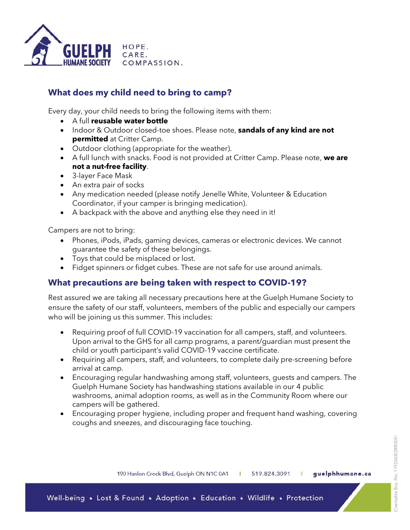

# **What does my child need to bring to camp?**

Every day, your child needs to bring the following items with them:

- A full **reusable water bottle**
- Indoor & Outdoor closed-toe shoes. Please note, **sandals of any kind are not permitted** at Critter Camp.
- Outdoor clothing (appropriate for the weather).
- A full lunch with snacks. Food is not provided at Critter Camp. Please note, **we are not a nut-free facility**.
- 3-layer Face Mask
- An extra pair of socks
- Any medication needed (please notify Jenelle White, Volunteer & Education Coordinator, if your camper is bringing medication).
- A backpack with the above and anything else they need in it!

Campers are not to bring:

- Phones, iPods, iPads, gaming devices, cameras or electronic devices. We cannot guarantee the safety of these belongings.
- Toys that could be misplaced or lost.
- Fidget spinners or fidget cubes. These are not safe for use around animals.

#### **What precautions are being taken with respect to COVID-19?**

Rest assured we are taking all necessary precautions here at the Guelph Humane Society to ensure the safety of our staff, volunteers, members of the public and especially our campers who will be joining us this summer. This includes:

- Requiring proof of full COVID-19 vaccination for all campers, staff, and volunteers. Upon arrival to the GHS for all camp programs, a parent/guardian must present the child or youth participant's valid COVID-19 vaccine certificate.
- Requiring all campers, staff, and volunteers, to complete daily pre-screening before arrival at camp.
- Encouraging regular handwashing among staff, volunteers, guests and campers. The Guelph Humane Society has handwashing stations available in our 4 public washrooms, animal adoption rooms, as well as in the Community Room where our campers will be gathered.
- Encouraging proper hygiene, including proper and frequent hand washing, covering coughs and sneezes, and discouraging face touching.

190 Hanlon Creek Blvd, Guelph ON N1C 0A1 519.824.3091 guelphhumane.ca